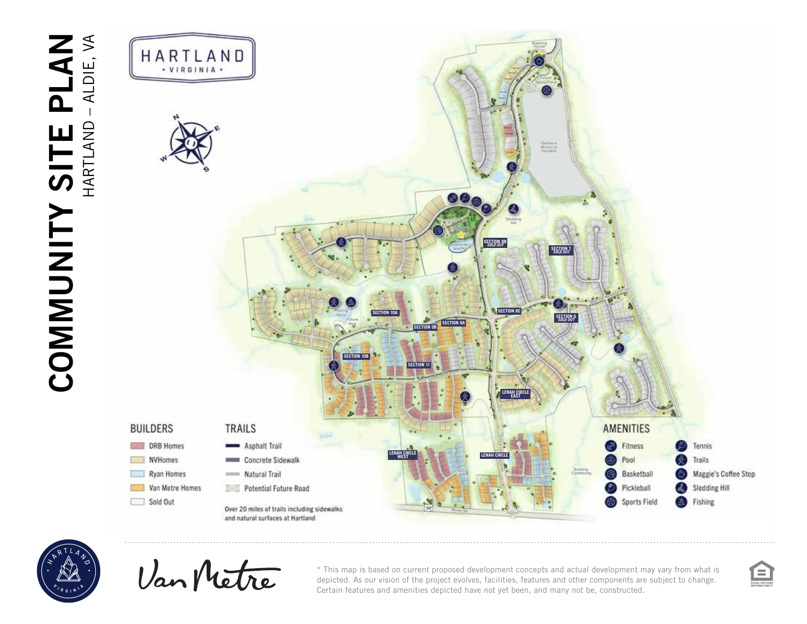



Van Metre

\* This map is based on current proposed development concepts and actual development may vary from what is depicted. As our vision of the project evolves, facilities, features and other components are subject to change. Certain features and amenities depicted have not yet been, and many not be, constructed.

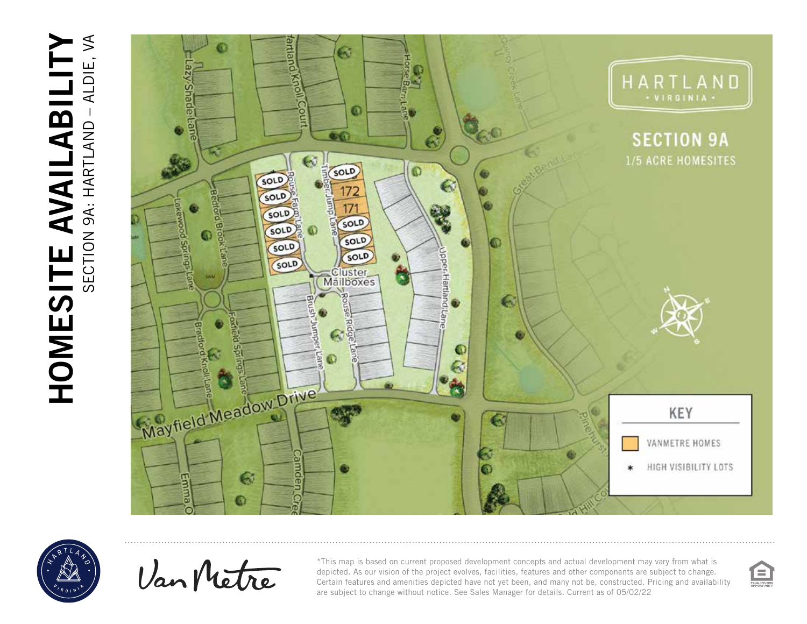





Van Metre

\*This map is based on current proposed development concepts and actual development may vary from what is depicted. As our vision of the project evolves, facilities, features and other components are subject to change. Certain features and amenities depicted have not yet been, and many not be, constructed. Pricing and availability are subject to change without notice. See Sales Manager for details. Current as of 05/02/22

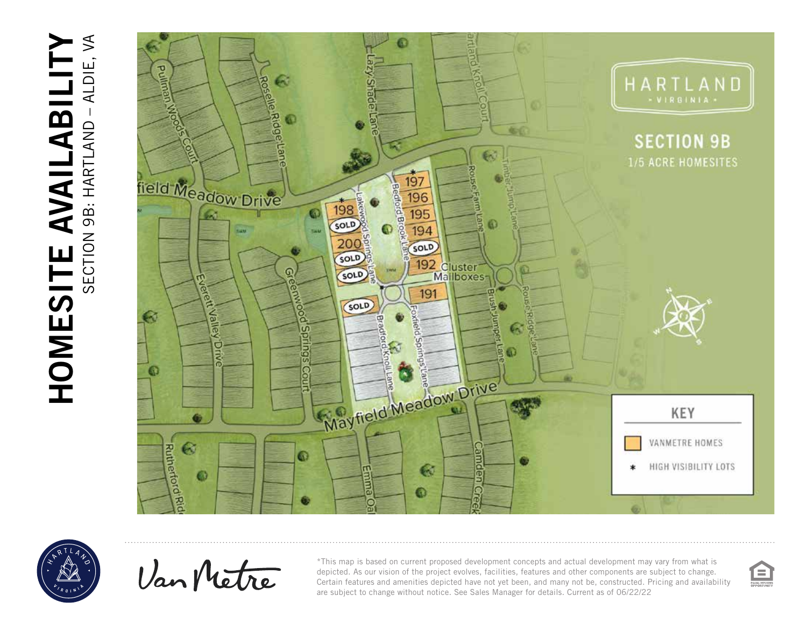## HOMESITE AVAILABILITY HOMESITE AVAILABILITY SECTION 9B: HARTLAND – ALDIE, VA





Van Metre

\*This map is based on current proposed development concepts and actual development may vary from what is depicted. As our vision of the project evolves, facilities, features and other components are subject to change. Certain features and amenities depicted have not yet been, and many not be, constructed. Pricing and availability are subject to change without notice. See Sales Manager for details. Current as of 06/22/22